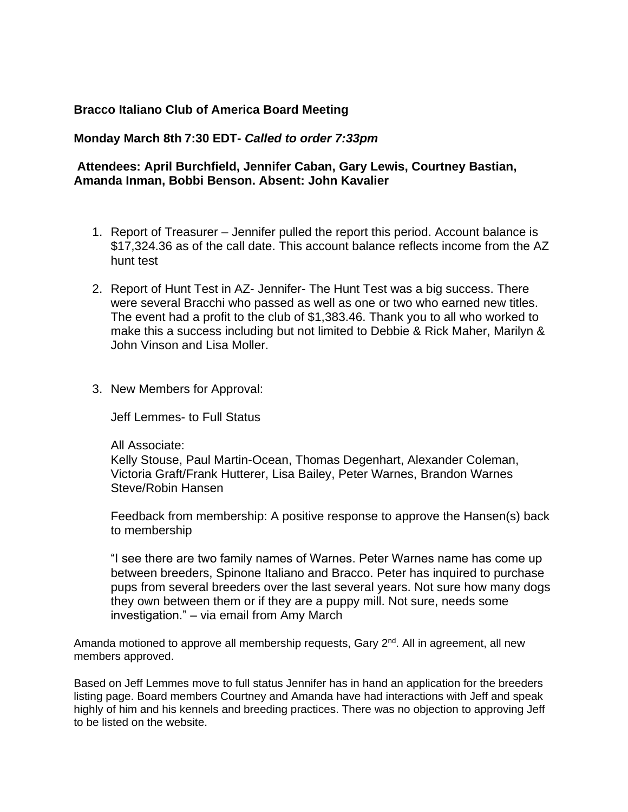## **Bracco Italiano Club of America Board Meeting**

## **Monday March 8th 7:30 EDT-** *Called to order 7:33pm*

## **Attendees: April Burchfield, Jennifer Caban, Gary Lewis, Courtney Bastian, Amanda Inman, Bobbi Benson. Absent: John Kavalier**

- 1. Report of Treasurer Jennifer pulled the report this period. Account balance is \$17,324.36 as of the call date. This account balance reflects income from the AZ hunt test
- 2. Report of Hunt Test in AZ- Jennifer- The Hunt Test was a big success. There were several Bracchi who passed as well as one or two who earned new titles. The event had a profit to the club of \$1,383.46. Thank you to all who worked to make this a success including but not limited to Debbie & Rick Maher, Marilyn & John Vinson and Lisa Moller.
- 3. New Members for Approval:

Jeff Lemmes- to Full Status

All Associate:

Kelly Stouse, Paul Martin-Ocean, Thomas Degenhart, Alexander Coleman, Victoria Graft/Frank Hutterer, Lisa Bailey, Peter Warnes, Brandon Warnes Steve/Robin Hansen

Feedback from membership: A positive response to approve the Hansen(s) back to membership

"I see there are two family names of Warnes. Peter Warnes name has come up between breeders, Spinone Italiano and Bracco. Peter has inquired to purchase pups from several breeders over the last several years. Not sure how many dogs they own between them or if they are a puppy mill. Not sure, needs some investigation." – via email from Amy March

Amanda motioned to approve all membership requests, Gary 2<sup>nd</sup>. All in agreement, all new members approved.

Based on Jeff Lemmes move to full status Jennifer has in hand an application for the breeders listing page. Board members Courtney and Amanda have had interactions with Jeff and speak highly of him and his kennels and breeding practices. There was no objection to approving Jeff to be listed on the website.